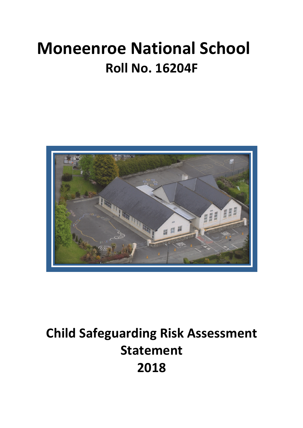# **Moneenroe National School Roll No. 16204F**



## **Child Safeguarding Risk Assessment Statement 2018**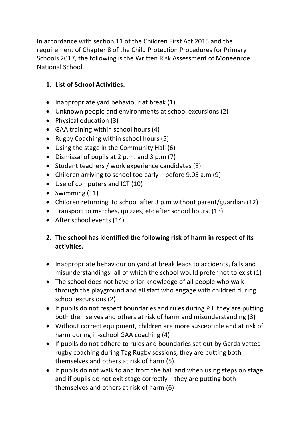In accordance with section 11 of the Children First Act 2015 and the requirement of Chapter 8 of the Child Protection Procedures for Primary Schools 2017, the following is the Written Risk Assessment of Moneenroe National School.

### **1. List of School Activities.**

- Inappropriate yard behaviour at break  $(1)$
- Unknown people and environments at school excursions (2)
- Physical education  $(3)$
- GAA training within school hours (4)
- Rugby Coaching within school hours (5)
- Using the stage in the Community Hall  $(6)$
- Dismissal of pupils at 2 p.m. and 3 p.m (7)
- Student teachers / work experience candidates (8)
- Children arriving to school too early  $-$  before 9.05 a.m (9)
- Use of computers and ICT (10)
- Swimming  $(11)$
- Children returning to school after 3 p.m without parent/guardian  $(12)$
- Transport to matches, quizzes, etc after school hours. (13)
- After school events  $(14)$

#### **2.** The school has identified the following risk of harm in respect of its **activities.**

- Inappropriate behaviour on vard at break leads to accidents, falls and misunderstandings- all of which the school would prefer not to exist (1)
- The school does not have prior knowledge of all people who walk through the playground and all staff who engage with children during school excursions (2)
- If pupils do not respect boundaries and rules during P.E they are putting both themselves and others at risk of harm and misunderstanding (3)
- Without correct equipment, children are more susceptible and at risk of harm during in-school GAA coaching (4)
- If pupils do not adhere to rules and boundaries set out by Garda vetted rugby coaching during Tag Rugby sessions, they are putting both themselves and others at risk of harm (5).
- If pupils do not walk to and from the hall and when using steps on stage and if pupils do not exit stage correctly  $-$  they are putting both themselves and others at risk of harm (6)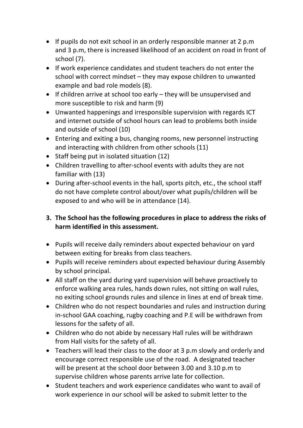- If pupils do not exit school in an orderly responsible manner at 2 p.m and 3 p.m, there is increased likelihood of an accident on road in front of school (7).
- If work experience candidates and student teachers do not enter the school with correct mindset  $-$  they may expose children to unwanted example and bad role models (8).
- If children arrive at school too early  $-$  they will be unsupervised and more susceptible to risk and harm  $(9)$
- Unwanted happenings and irresponsible supervision with regards ICT and internet outside of school hours can lead to problems both inside and outside of school (10)
- Entering and exiting a bus, changing rooms, new personnel instructing and interacting with children from other schools (11)
- Staff being put in isolated situation  $(12)$
- Children travelling to after-school events with adults they are not familiar with (13)
- During after-school events in the hall, sports pitch, etc., the school staff do not have complete control about/over what pupils/children will be exposed to and who will be in attendance (14).

### **3.** The School has the following procedures in place to address the risks of harm identified in this assessment.

- Pupils will receive daily reminders about expected behaviour on yard between exiting for breaks from class teachers.
- Pupils will receive reminders about expected behaviour during Assembly by school principal.
- All staff on the yard during yard supervision will behave proactively to enforce walking area rules, hands down rules, not sitting on wall rules, no exiting school grounds rules and silence in lines at end of break time.
- Children who do not respect boundaries and rules and instruction during in-school GAA coaching, rugby coaching and P.E will be withdrawn from lessons for the safety of all.
- Children who do not abide by necessary Hall rules will be withdrawn from Hall visits for the safety of all.
- Teachers will lead their class to the door at 3 p.m slowly and orderly and encourage correct responsible use of the road. A designated teacher will be present at the school door between 3.00 and 3.10 p.m to supervise children whose parents arrive late for collection.
- Student teachers and work experience candidates who want to avail of work experience in our school will be asked to submit letter to the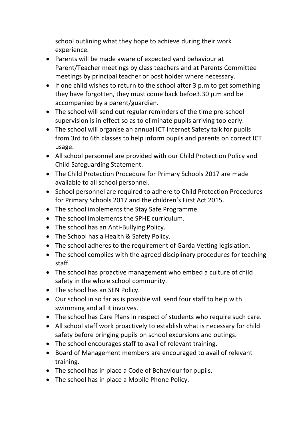school outlining what they hope to achieve during their work experience.

- Parents will be made aware of expected vard behaviour at Parent/Teacher meetings by class teachers and at Parents Committee meetings by principal teacher or post holder where necessary.
- If one child wishes to return to the school after 3 p.m to get something they have forgotten, they must come back befoe3.30 p.m and be accompanied by a parent/guardian.
- The school will send out regular reminders of the time pre-school supervision is in effect so as to eliminate pupils arriving too early.
- The school will organise an annual ICT Internet Safety talk for pupils from 3rd to 6th classes to help inform pupils and parents on correct ICT usage.
- All school personnel are provided with our Child Protection Policy and Child Safeguarding Statement.
- The Child Protection Procedure for Primary Schools 2017 are made available to all school personnel.
- School personnel are required to adhere to Child Protection Procedures for Primary Schools 2017 and the children's First Act 2015.
- The school implements the Stay Safe Programme.
- The school implements the SPHE curriculum.
- The school has an Anti-Bullying Policy.
- The School has a Health & Safety Policy.
- The school adheres to the requirement of Garda Vetting legislation.
- The school complies with the agreed disciplinary procedures for teaching staff.
- The school has proactive management who embed a culture of child safety in the whole school community.
- The school has an SEN Policy.
- Our school in so far as is possible will send four staff to help with swimming and all it involves.
- The school has Care Plans in respect of students who require such care.
- All school staff work proactively to establish what is necessary for child safety before bringing pupils on school excursions and outings.
- The school encourages staff to avail of relevant training.
- Board of Management members are encouraged to avail of relevant training.
- The school has in place a Code of Behaviour for pupils.
- The school has in place a Mobile Phone Policy.